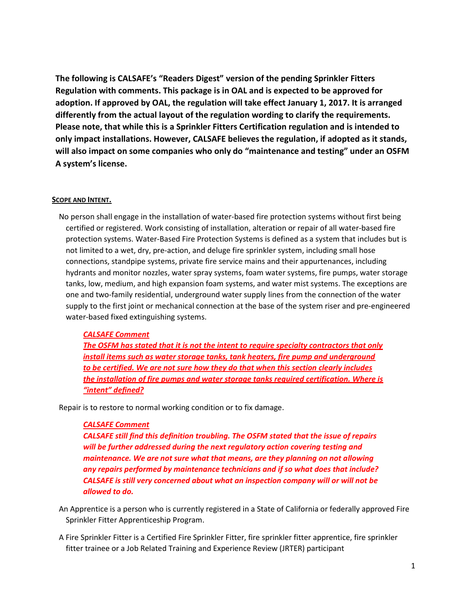The following is CALSAFE's "Readers Digest" version of the pending Sprinkler Fitters Regulation with comments. This package is in OAL and is expected to be approved for adoption. If approved by OAL, the regulation will take effect January 1, 2017. It is arranged differently from the actual layout of the regulation wording to clarify the requirements. Please note, that while this is a Sprinkler Fitters Certification regulation and is intended to only impact installations. However, CALSAFE believes the regulation, if adopted as it stands, will also impact on some companies who only do "maintenance and testing" under an OSFM A system's license.

#### SCOPE AND INTENT.

No person shall engage in the installation of water-based fire protection systems without first being certified or registered. Work consisting of installation, alteration or repair of all water-based fire protection systems. Water-Based Fire Protection Systems is defined as a system that includes but is not limited to a wet, dry, pre-action, and deluge fire sprinkler system, including small hose connections, standpipe systems, private fire service mains and their appurtenances, including hydrants and monitor nozzles, water spray systems, foam water systems, fire pumps, water storage tanks, low, medium, and high expansion foam systems, and water mist systems. The exceptions are one and two-family residential, underground water supply lines from the connection of the water supply to the first joint or mechanical connection at the base of the system riser and pre-engineered water-based fixed extinguishing systems.

#### CALSAFE Comment

The OSFM has stated that it is not the intent to require specialty contractors that only install items such as water storage tanks, tank heaters, fire pump and underground to be certified. We are not sure how they do that when this section clearly includes the installation of fire pumps and water storage tanks required certification. Where is "intent" defined?

Repair is to restore to normal working condition or to fix damage.

#### CALSAFE Comment

CALSAFE still find this definition troubling. The OSFM stated that the issue of repairs will be further addressed during the next regulatory action covering testing and maintenance. We are not sure what that means, are they planning on not allowing any repairs performed by maintenance technicians and if so what does that include? CALSAFE is still very concerned about what an inspection company will or will not be allowed to do.

An Apprentice is a person who is currently registered in a State of California or federally approved Fire Sprinkler Fitter Apprenticeship Program.

A Fire Sprinkler Fitter is a Certified Fire Sprinkler Fitter, fire sprinkler fitter apprentice, fire sprinkler fitter trainee or a Job Related Training and Experience Review (JRTER) participant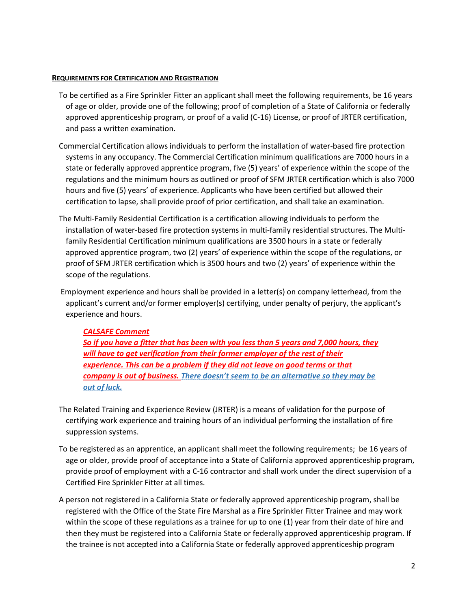#### REQUIREMENTS FOR CERTIFICATION AND REGISTRATION

- To be certified as a Fire Sprinkler Fitter an applicant shall meet the following requirements, be 16 years of age or older, provide one of the following; proof of completion of a State of California or federally approved apprenticeship program, or proof of a valid (C-16) License, or proof of JRTER certification, and pass a written examination.
- Commercial Certification allows individuals to perform the installation of water-based fire protection systems in any occupancy. The Commercial Certification minimum qualifications are 7000 hours in a state or federally approved apprentice program, five (5) years' of experience within the scope of the regulations and the minimum hours as outlined or proof of SFM JRTER certification which is also 7000 hours and five (5) years' of experience. Applicants who have been certified but allowed their certification to lapse, shall provide proof of prior certification, and shall take an examination.
- The Multi-Family Residential Certification is a certification allowing individuals to perform the installation of water-based fire protection systems in multi-family residential structures. The Multifamily Residential Certification minimum qualifications are 3500 hours in a state or federally approved apprentice program, two (2) years' of experience within the scope of the regulations, or proof of SFM JRTER certification which is 3500 hours and two (2) years' of experience within the scope of the regulations.
- Employment experience and hours shall be provided in a letter(s) on company letterhead, from the applicant's current and/or former employer(s) certifying, under penalty of perjury, the applicant's experience and hours.

# CALSAFE Comment

So if you have a fitter that has been with you less than 5 years and 7,000 hours, they will have to get verification from their former employer of the rest of their experience. This can be a problem if they did not leave on good terms or that company is out of business. There doesn't seem to be an alternative so they may be out of luck.

- The Related Training and Experience Review (JRTER) is a means of validation for the purpose of certifying work experience and training hours of an individual performing the installation of fire suppression systems.
- To be registered as an apprentice, an applicant shall meet the following requirements; be 16 years of age or older, provide proof of acceptance into a State of California approved apprenticeship program, provide proof of employment with a C-16 contractor and shall work under the direct supervision of a Certified Fire Sprinkler Fitter at all times.
- A person not registered in a California State or federally approved apprenticeship program, shall be registered with the Office of the State Fire Marshal as a Fire Sprinkler Fitter Trainee and may work within the scope of these regulations as a trainee for up to one (1) year from their date of hire and then they must be registered into a California State or federally approved apprenticeship program. If the trainee is not accepted into a California State or federally approved apprenticeship program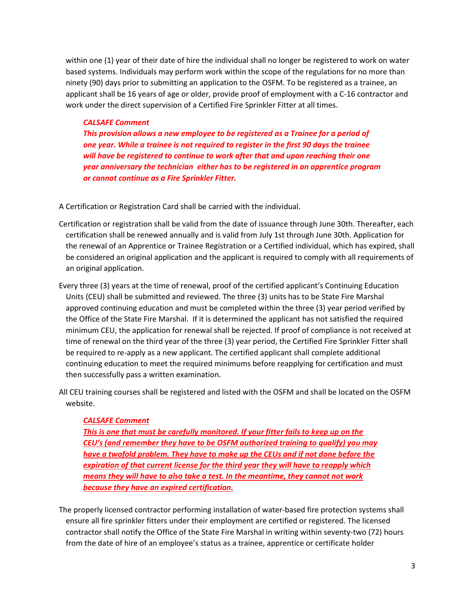within one (1) year of their date of hire the individual shall no longer be registered to work on water based systems. Individuals may perform work within the scope of the regulations for no more than ninety (90) days prior to submitting an application to the OSFM. To be registered as a trainee, an applicant shall be 16 years of age or older, provide proof of employment with a C-16 contractor and work under the direct supervision of a Certified Fire Sprinkler Fitter at all times.

#### CALSAFE Comment

This provision allows a new employee to be registered as a Trainee for a period of one year. While a trainee is not required to register in the first 90 days the trainee will have be registered to continue to work after that and upon reaching their one year anniversary the technician either has to be registered in an apprentice program or cannot continue as a Fire Sprinkler Fitter.

A Certification or Registration Card shall be carried with the individual.

- Certification or registration shall be valid from the date of issuance through June 30th. Thereafter, each certification shall be renewed annually and is valid from July 1st through June 30th. Application for the renewal of an Apprentice or Trainee Registration or a Certified individual, which has expired, shall be considered an original application and the applicant is required to comply with all requirements of an original application.
- Every three (3) years at the time of renewal, proof of the certified applicant's Continuing Education Units (CEU) shall be submitted and reviewed. The three (3) units has to be State Fire Marshal approved continuing education and must be completed within the three (3) year period verified by the Office of the State Fire Marshal. If it is determined the applicant has not satisfied the required minimum CEU, the application for renewal shall be rejected. If proof of compliance is not received at time of renewal on the third year of the three (3) year period, the Certified Fire Sprinkler Fitter shall be required to re-apply as a new applicant. The certified applicant shall complete additional continuing education to meet the required minimums before reapplying for certification and must then successfully pass a written examination.
- All CEU training courses shall be registered and listed with the OSFM and shall be located on the OSFM website.

### CALSAFE Comment

This is one that must be carefully monitored. If your fitter fails to keep up on the CEU's (and remember they have to be OSFM authorized training to qualify) you may have a twofold problem. They have to make up the CEUs and if not done before the expiration of that current license for the third year they will have to reapply which means they will have to also take a test. In the meantime, they cannot not work because they have an expired certification.

The properly licensed contractor performing installation of water-based fire protection systems shall ensure all fire sprinkler fitters under their employment are certified or registered. The licensed contractor shall notify the Office of the State Fire Marshal in writing within seventy-two (72) hours from the date of hire of an employee's status as a trainee, apprentice or certificate holder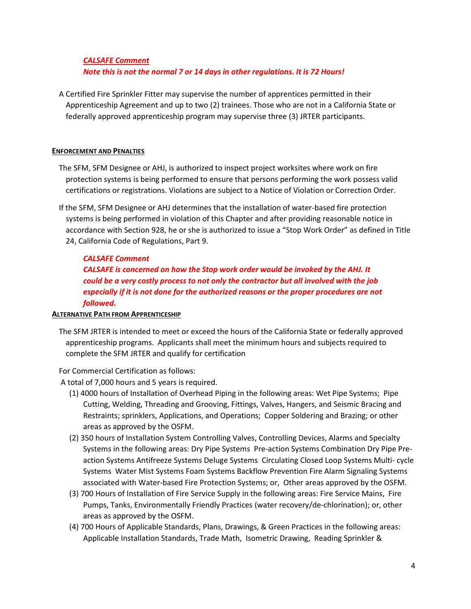# CALSAFE Comment Note this is not the normal 7 or 14 days in other regulations. It is 72 Hours!

A Certified Fire Sprinkler Fitter may supervise the number of apprentices permitted in their Apprenticeship Agreement and up to two (2) trainees. Those who are not in a California State or federally approved apprenticeship program may supervise three (3) JRTER participants.

#### ENFORCEMENT AND PENALTIES

- The SFM, SFM Designee or AHJ, is authorized to inspect project worksites where work on fire protection systems is being performed to ensure that persons performing the work possess valid certifications or registrations. Violations are subject to a Notice of Violation or Correction Order.
- If the SFM, SFM Designee or AHJ determines that the installation of water-based fire protection systems is being performed in violation of this Chapter and after providing reasonable notice in accordance with Section 928, he or she is authorized to issue a "Stop Work Order" as defined in Title 24, California Code of Regulations, Part 9.

### CALSAFE Comment

CALSAFE is concerned on how the Stop work order would be invoked by the AHJ. It could be a very costly process to not only the contractor but all involved with the job especially if it is not done for the authorized reasons or the proper procedures are not followed.

### ALTERNATIVE PATH FROM APPRENTICESHIP

The SFM JRTER is intended to meet or exceed the hours of the California State or federally approved apprenticeship programs. Applicants shall meet the minimum hours and subjects required to complete the SFM JRTER and qualify for certification

### For Commercial Certification as follows:

A total of 7,000 hours and 5 years is required.

- (1) 4000 hours of Installation of Overhead Piping in the following areas: Wet Pipe Systems; Pipe Cutting, Welding, Threading and Grooving, Fittings, Valves, Hangers, and Seismic Bracing and Restraints; sprinklers, Applications, and Operations; Copper Soldering and Brazing; or other areas as approved by the OSFM.
- (2) 350 hours of Installation System Controlling Valves, Controlling Devices, Alarms and Specialty Systems in the following areas: Dry Pipe Systems Pre-action Systems Combination Dry Pipe Preaction Systems Antifreeze Systems Deluge Systems Circulating Closed Loop Systems Multi- cycle Systems Water Mist Systems Foam Systems Backflow Prevention Fire Alarm Signaling Systems associated with Water-based Fire Protection Systems; or, Other areas approved by the OSFM.
- (3) 700 Hours of Installation of Fire Service Supply in the following areas: Fire Service Mains, Fire Pumps, Tanks, Environmentally Friendly Practices (water recovery/de-chlorination); or, other areas as approved by the OSFM.
- (4) 700 Hours of Applicable Standards, Plans, Drawings, & Green Practices in the following areas: Applicable Installation Standards, Trade Math, Isometric Drawing, Reading Sprinkler &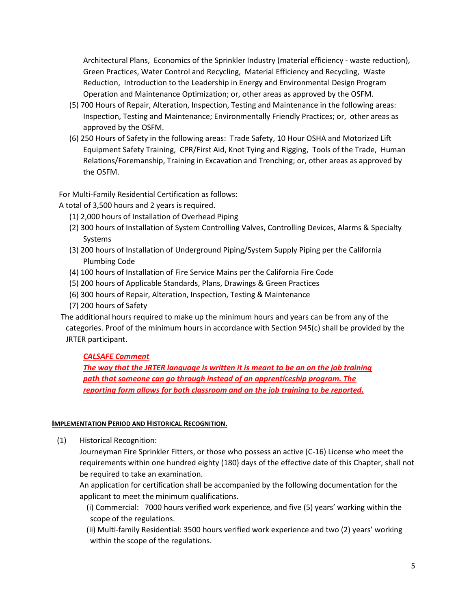Architectural Plans, Economics of the Sprinkler Industry (material efficiency - waste reduction), Green Practices, Water Control and Recycling, Material Efficiency and Recycling, Waste Reduction, Introduction to the Leadership in Energy and Environmental Design Program Operation and Maintenance Optimization; or, other areas as approved by the OSFM.

- (5) 700 Hours of Repair, Alteration, Inspection, Testing and Maintenance in the following areas: Inspection, Testing and Maintenance; Environmentally Friendly Practices; or, other areas as approved by the OSFM.
- (6) 250 Hours of Safety in the following areas: Trade Safety, 10 Hour OSHA and Motorized Lift Equipment Safety Training, CPR/First Aid, Knot Tying and Rigging, Tools of the Trade, Human Relations/Foremanship, Training in Excavation and Trenching; or, other areas as approved by the OSFM.

For Multi-Family Residential Certification as follows:

A total of 3,500 hours and 2 years is required.

- (1) 2,000 hours of Installation of Overhead Piping
- (2) 300 hours of Installation of System Controlling Valves, Controlling Devices, Alarms & Specialty Systems
- (3) 200 hours of Installation of Underground Piping/System Supply Piping per the California Plumbing Code
- (4) 100 hours of Installation of Fire Service Mains per the California Fire Code
- (5) 200 hours of Applicable Standards, Plans, Drawings & Green Practices
- (6) 300 hours of Repair, Alteration, Inspection, Testing & Maintenance
- (7) 200 hours of Safety

 The additional hours required to make up the minimum hours and years can be from any of the categories. Proof of the minimum hours in accordance with Section 945(c) shall be provided by the JRTER participant.

### CALSAFE Comment

The way that the JRTER language is written it is meant to be an on the job training path that someone can go through instead of an apprenticeship program. The reporting form allows for both classroom and on the job training to be reported.

### IMPLEMENTATION PERIOD AND HISTORICAL RECOGNITION.

(1) Historical Recognition:

Journeyman Fire Sprinkler Fitters, or those who possess an active (C-16) License who meet the requirements within one hundred eighty (180) days of the effective date of this Chapter, shall not be required to take an examination.

An application for certification shall be accompanied by the following documentation for the applicant to meet the minimum qualifications.

(i) Commercial: 7000 hours verified work experience, and five (5) years' working within the scope of the regulations.

(ii) Multi-family Residential: 3500 hours verified work experience and two (2) years' working within the scope of the regulations.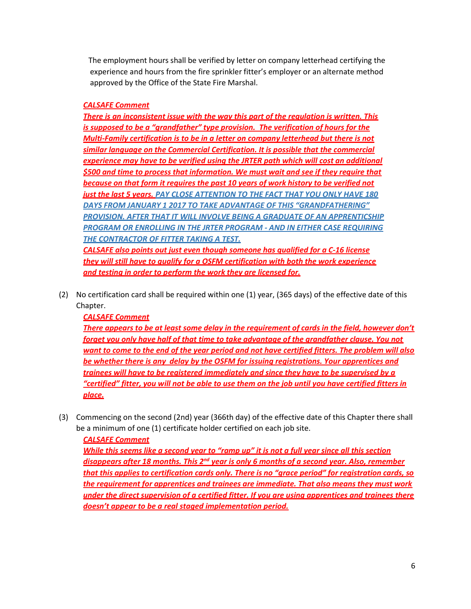The employment hours shall be verified by letter on company letterhead certifying the experience and hours from the fire sprinkler fitter's employer or an alternate method approved by the Office of the State Fire Marshal.

# CALSAFE Comment

There is an inconsistent issue with the way this part of the regulation is written. This is supposed to be a "grandfather" type provision. The verification of hours for the Multi-Family certification is to be in a letter on company letterhead but there is not similar language on the Commercial Certification. It is possible that the commercial experience may have to be verified using the JRTER path which will cost an additional \$500 and time to process that information. We must wait and see if they require that because on that form it requires the past 10 years of work history to be verified not just the last 5 years. PAY CLOSE ATTENTION TO THE FACT THAT YOU ONLY HAVE 180 DAYS FROM JANUARY 1 2017 TO TAKE ADVANTAGE OF THIS "GRANDFATHERING" PROVISION. AFTER THAT IT WILL INVOLVE BEING A GRADUATE OF AN APPRENTICSHIP PROGRAM OR ENROLLING IN THE JRTER PROGRAM - AND IN EITHER CASE REQUIRING THE CONTRACTOR OF FITTER TAKING A TEST. CALSAFE also points out just even though someone has qualified for a C-16 license they will still have to qualify for a OSFM certification with both the work experience and testing in order to perform the work they are licensed for.

(2) No certification card shall be required within one (1) year, (365 days) of the effective date of this Chapter.

CALSAFE Comment

There appears to be at least some delay in the requirement of cards in the field, however don't forget you only have half of that time to take advantage of the grandfather clause. You not want to come to the end of the year period and not have certified fitters. The problem will also be whether there is any delay by the OSFM for issuing registrations. Your apprentices and trainees will have to be registered immediately and since they have to be supervised by a "certified" fitter, you will not be able to use them on the job until you have certified fitters in place.

(3) Commencing on the second (2nd) year (366th day) of the effective date of this Chapter there shall be a minimum of one (1) certificate holder certified on each job site.

# CALSAFE Comment

While this seems like a second year to "ramp up" it is not a full year since all this section disappears after 18 months. This  $2^{nd}$  year is only 6 months of a second year. Also, remember that this applies to certification cards only. There is no "grace period" for registration cards, so the requirement for apprentices and trainees are immediate. That also means they must work under the direct supervision of a certified fitter. If you are using apprentices and trainees there doesn't appear to be a real staged implementation period.